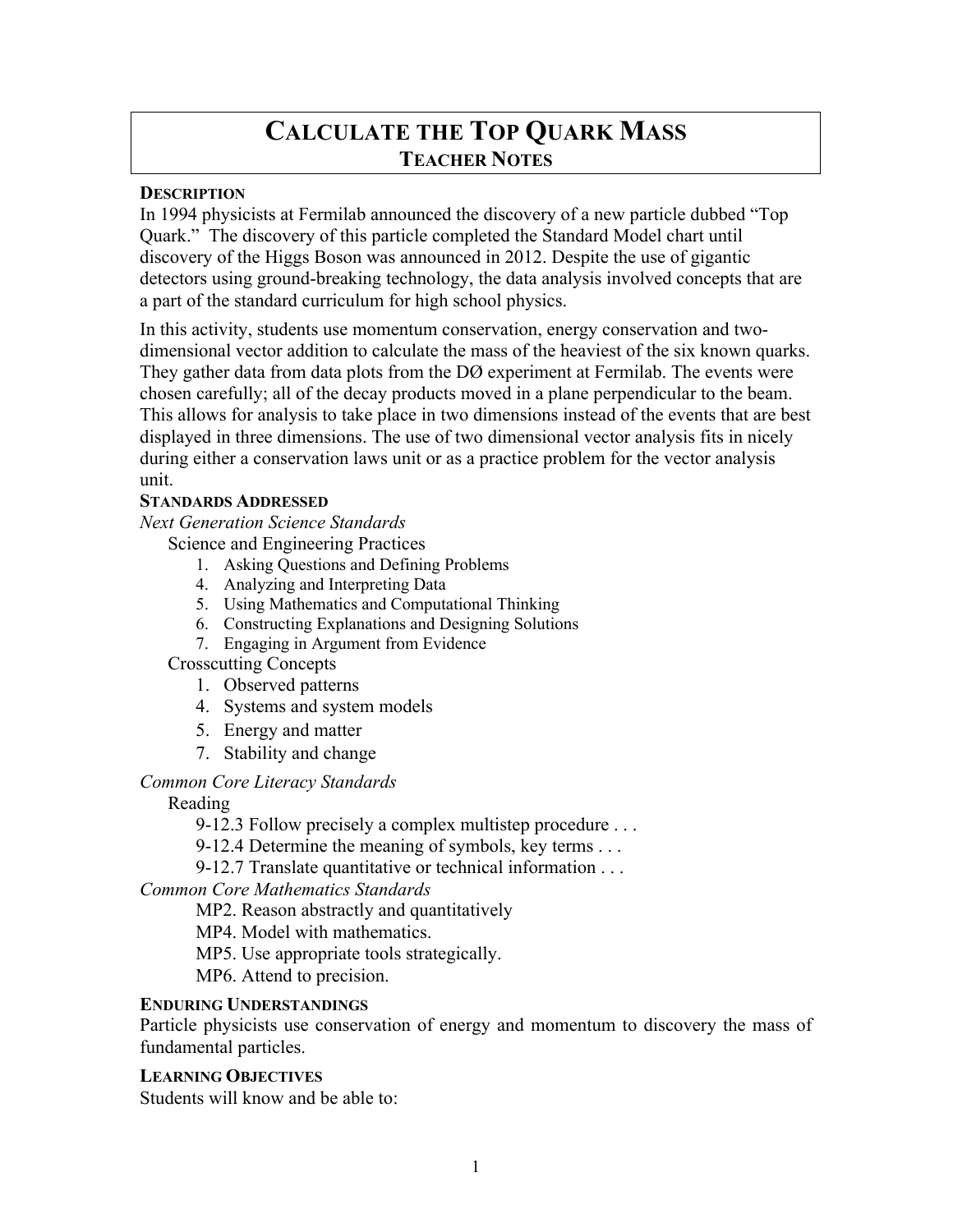# **CALCULATE THE TOP QUARK MASS TEACHER NOTES**

## **DESCRIPTION**

In 1994 physicists at Fermilab announced the discovery of a new particle dubbed "Top Quark." The discovery of this particle completed the Standard Model chart until discovery of the Higgs Boson was announced in 2012. Despite the use of gigantic detectors using ground-breaking technology, the data analysis involved concepts that are a part of the standard curriculum for high school physics.

In this activity, students use momentum conservation, energy conservation and twodimensional vector addition to calculate the mass of the heaviest of the six known quarks. They gather data from data plots from the DØ experiment at Fermilab. The events were chosen carefully; all of the decay products moved in a plane perpendicular to the beam. This allows for analysis to take place in two dimensions instead of the events that are best displayed in three dimensions. The use of two dimensional vector analysis fits in nicely during either a conservation laws unit or as a practice problem for the vector analysis unit.

#### **STANDARDS ADDRESSED**

*Next Generation Science Standards* 

Science and Engineering Practices

- 1. Asking Questions and Defining Problems
- 4. Analyzing and Interpreting Data
- 5. Using Mathematics and Computational Thinking
- 6. Constructing Explanations and Designing Solutions
- 7. Engaging in Argument from Evidence

Crosscutting Concepts

- 1. Observed patterns
- 4. Systems and system models
- 5. Energy and matter
- 7. Stability and change

#### *Common Core Literacy Standards*

Reading

9-12.3 Follow precisely a complex multistep procedure . . .

9-12.4 Determine the meaning of symbols, key terms . . .

9-12.7 Translate quantitative or technical information . . .

*Common Core Mathematics Standards*

MP2. Reason abstractly and quantitatively

MP4. Model with mathematics.

MP5. Use appropriate tools strategically.

MP6. Attend to precision.

## **ENDURING UNDERSTANDINGS**

Particle physicists use conservation of energy and momentum to discovery the mass of fundamental particles.

**LEARNING OBJECTIVES** 

Students will know and be able to: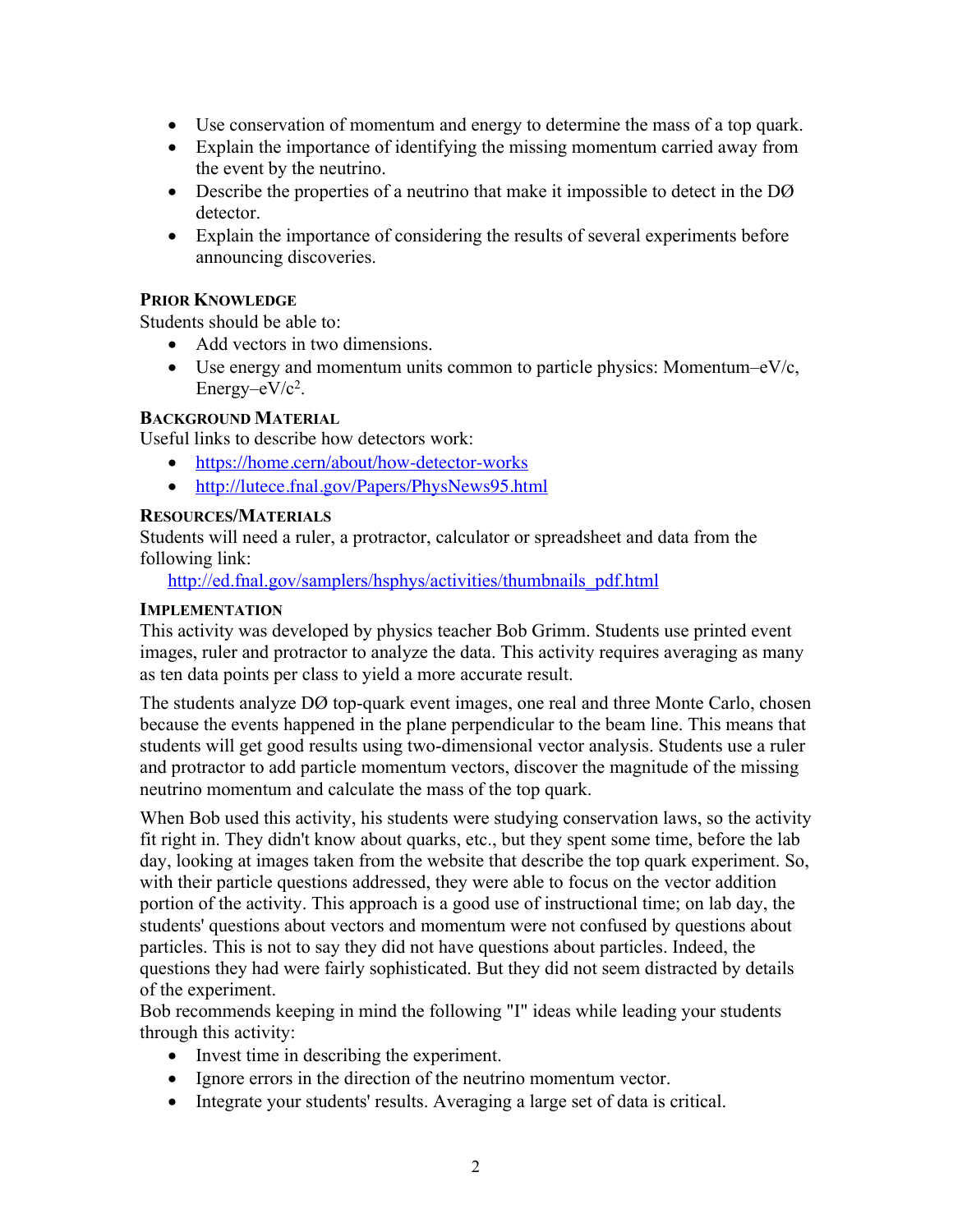- Use conservation of momentum and energy to determine the mass of a top quark.
- Explain the importance of identifying the missing momentum carried away from the event by the neutrino.
- Describe the properties of a neutrino that make it impossible to detect in the DØ detector.
- Explain the importance of considering the results of several experiments before announcing discoveries.

## **PRIOR KNOWLEDGE**

Students should be able to:

- Add vectors in two dimensions.
- Use energy and momentum units common to particle physics: Momentum– $eV/c$ , Energy– $eV/c<sup>2</sup>$ .

#### **BACKGROUND MATERIAL**

Useful links to describe how detectors work:

- https://home.cern/about/how-detector-works
- http://lutece.fnal.gov/Papers/PhysNews95.html

#### **RESOURCES/MATERIALS**

Students will need a ruler, a protractor, calculator or spreadsheet and data from the following link:

http://ed.fnal.gov/samplers/hsphys/activities/thumbnails\_pdf.html

## **IMPLEMENTATION**

This activity was developed by physics teacher Bob Grimm. Students use printed event images, ruler and protractor to analyze the data. This activity requires averaging as many as ten data points per class to yield a more accurate result.

The students analyze DØ top-quark event images, one real and three Monte Carlo, chosen because the events happened in the plane perpendicular to the beam line. This means that students will get good results using two-dimensional vector analysis. Students use a ruler and protractor to add particle momentum vectors, discover the magnitude of the missing neutrino momentum and calculate the mass of the top quark.

When Bob used this activity, his students were studying conservation laws, so the activity fit right in. They didn't know about quarks, etc., but they spent some time, before the lab day, looking at images taken from the website that describe the top quark experiment. So, with their particle questions addressed, they were able to focus on the vector addition portion of the activity. This approach is a good use of instructional time; on lab day, the students' questions about vectors and momentum were not confused by questions about particles. This is not to say they did not have questions about particles. Indeed, the questions they had were fairly sophisticated. But they did not seem distracted by details of the experiment.

Bob recommends keeping in mind the following "I" ideas while leading your students through this activity:

- Invest time in describing the experiment.
- Ignore errors in the direction of the neutrino momentum vector.
- Integrate your students' results. Averaging a large set of data is critical.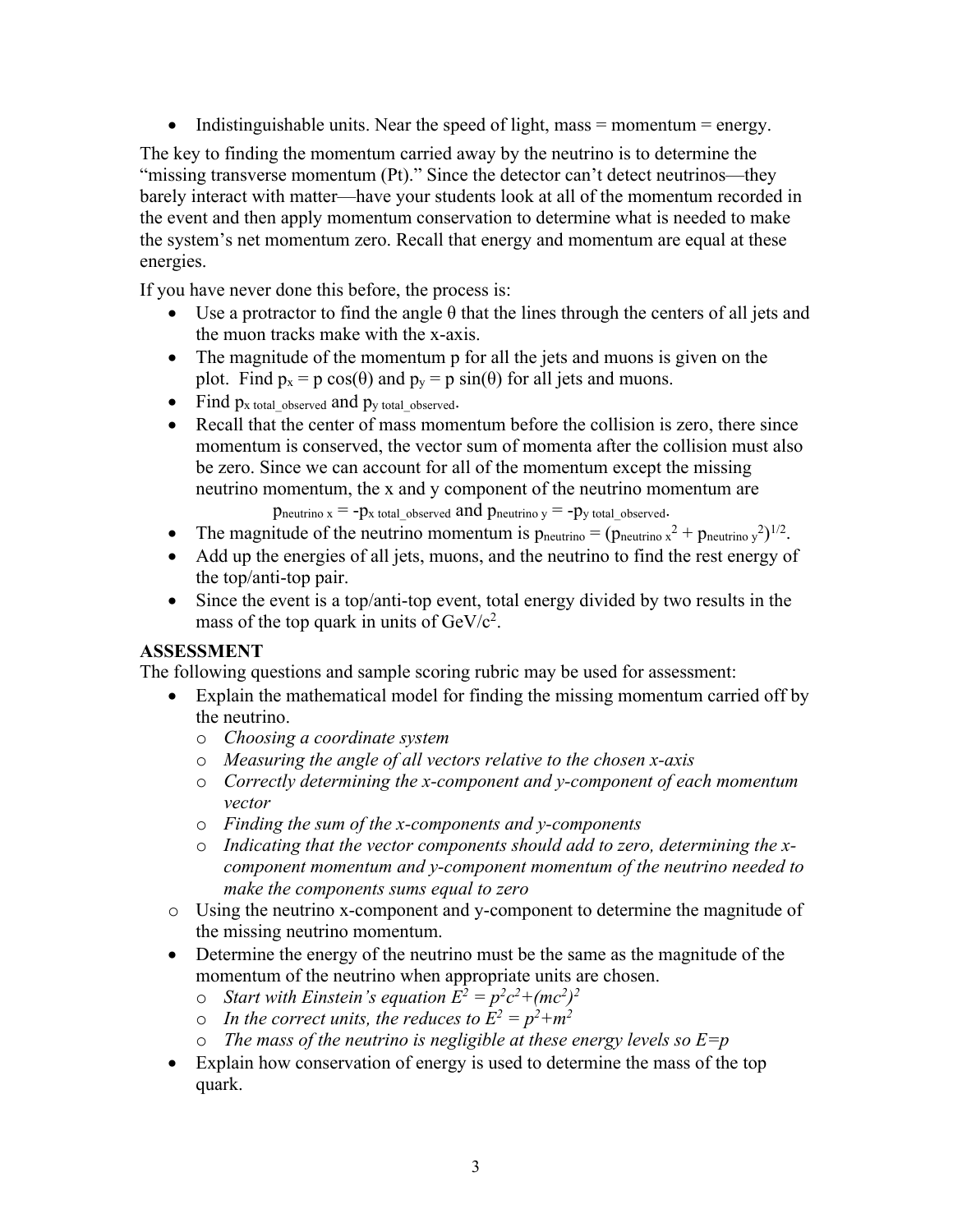• Indistinguishable units. Near the speed of light, mass  $=$  momentum  $=$  energy.

The key to finding the momentum carried away by the neutrino is to determine the "missing transverse momentum (Pt)." Since the detector can't detect neutrinos—they barely interact with matter—have your students look at all of the momentum recorded in the event and then apply momentum conservation to determine what is needed to make the system's net momentum zero. Recall that energy and momentum are equal at these energies.

If you have never done this before, the process is:

- Use a protractor to find the angle  $\theta$  that the lines through the centers of all jets and the muon tracks make with the x-axis.
- The magnitude of the momentum p for all the jets and muons is given on the plot. Find  $p_x = p \cos(\theta)$  and  $p_y = p \sin(\theta)$  for all jets and muons.
- Find  $p_x$  total observed and  $p_y$  total observed.
- Recall that the center of mass momentum before the collision is zero, there since momentum is conserved, the vector sum of momenta after the collision must also be zero. Since we can account for all of the momentum except the missing neutrino momentum, the x and y component of the neutrino momentum are

 $p_{\text{neutrino x}} = -p_{\text{x total observed}}$  and  $p_{\text{neutrino y}} = -p_{\text{y total observed}}$ .

- The magnitude of the neutrino momentum is  $p_{\text{neutrino}} = (p_{\text{neutrino}} x^2 + p_{\text{neutrino}} y^2)^{1/2}$ .
- Add up the energies of all jets, muons, and the neutrino to find the rest energy of the top/anti-top pair.
- Since the event is a top/anti-top event, total energy divided by two results in the mass of the top quark in units of  $GeV/c^2$ .

## **ASSESSMENT**

The following questions and sample scoring rubric may be used for assessment:

- Explain the mathematical model for finding the missing momentum carried off by the neutrino.
	- o *Choosing a coordinate system*
	- o *Measuring the angle of all vectors relative to the chosen x-axis*
	- o *Correctly determining the x-component and y-component of each momentum vector*
	- o *Finding the sum of the x-components and y-components*
	- o *Indicating that the vector components should add to zero, determining the xcomponent momentum and y-component momentum of the neutrino needed to make the components sums equal to zero*
- o Using the neutrino x-component and y-component to determine the magnitude of the missing neutrino momentum.
- Determine the energy of the neutrino must be the same as the magnitude of the momentum of the neutrino when appropriate units are chosen.
	- $\circ$  *Start with Einstein's equation*  $E^2 = p^2c^2 + (mc^2)^2$
	- o In the correct units, the reduces to  $E^2 = p^2 + m^2$
	- o *The mass of the neutrino is negligible at these energy levels so E=p*
- Explain how conservation of energy is used to determine the mass of the top quark.